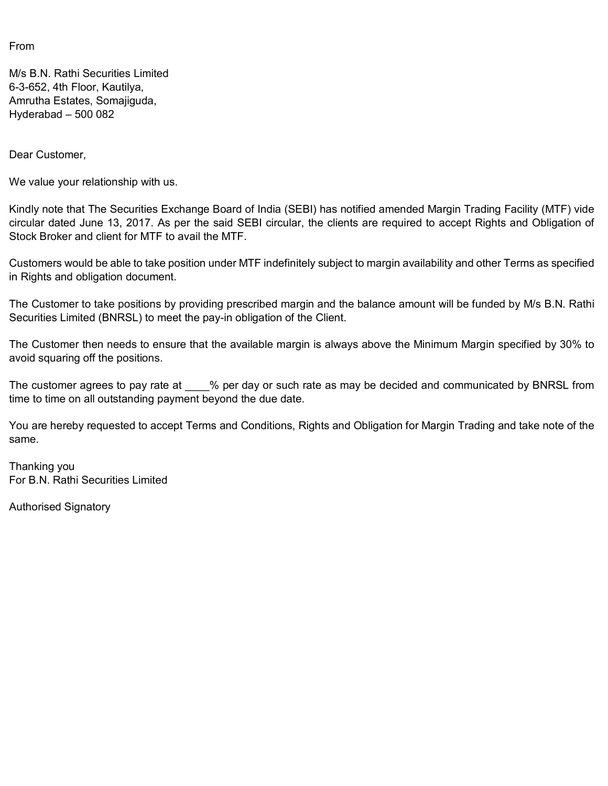From

M/s B.N. Rathi Securities Limited 6-3-652, 4th Floor, Kautilya, Amrutha Estates, Somajiguda, Hyderabad – 500 082

Dear Customer,

We value your relationship with us.

Kindly note that The Securities Exchange Board of India (SEBI) has notified amended Margin Trading Facility (MTF) vide circular dated June 13, 2017. As per the said SEBI circular, the clients are required to accept Rights and Obligation of Stock Broker and client for MTF to avail the MTF.

Customers would be able to take position under MTF indefinitely subject to margin availability and other Terms as specified in Rights and obligation document.

The Customer to take positions by providing prescribed margin and the balance amount will be funded by M/s B.N. Rathi Securities Limited (BNRSL) to meet the pay-in obligation of the Client.

The Customer then needs to ensure that the available margin is always above the Minimum Margin specified by 30% to avoid squaring off the positions.

The customer agrees to pay rate at \_\_\_\_% per day or such rate as may be decided and communicated by BNRSL from time to time on all outstanding payment beyond the due date.

You are hereby requested to accept Terms and Conditions, Rights and Obligation for Margin Trading and take note of the same.

Thanking you For B.N. Rathi Securities Limited

Authorised Signatory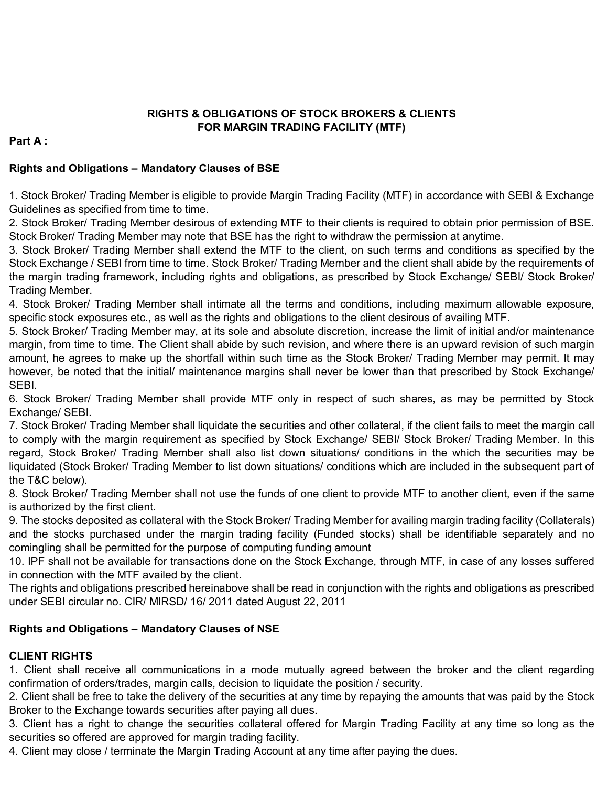### **RIGHTS & OBLIGATIONS OF STOCK BROKERS & CLIENTS FOR MARGIN TRADING FACILITY (MTF)**

### **Part A :**

### **Rights and Obligations – Mandatory Clauses of BSE**

1. Stock Broker/ Trading Member is eligible to provide Margin Trading Facility (MTF) in accordance with SEBI & Exchange Guidelines as specified from time to time.

2. Stock Broker/ Trading Member desirous of extending MTF to their clients is required to obtain prior permission of BSE. Stock Broker/ Trading Member may note that BSE has the right to withdraw the permission at anytime.

3. Stock Broker/ Trading Member shall extend the MTF to the client, on such terms and conditions as specified by the Stock Exchange / SEBI from time to time. Stock Broker/ Trading Member and the client shall abide by the requirements of the margin trading framework, including rights and obligations, as prescribed by Stock Exchange/ SEBI/ Stock Broker/ Trading Member.

4. Stock Broker/ Trading Member shall intimate all the terms and conditions, including maximum allowable exposure, specific stock exposures etc., as well as the rights and obligations to the client desirous of availing MTF.

5. Stock Broker/ Trading Member may, at its sole and absolute discretion, increase the limit of initial and/or maintenance margin, from time to time. The Client shall abide by such revision, and where there is an upward revision of such margin amount, he agrees to make up the shortfall within such time as the Stock Broker/ Trading Member may permit. It may however, be noted that the initial/ maintenance margins shall never be lower than that prescribed by Stock Exchange/ SEBI.

6. Stock Broker/ Trading Member shall provide MTF only in respect of such shares, as may be permitted by Stock Exchange/ SEBI.

7. Stock Broker/ Trading Member shall liquidate the securities and other collateral, if the client fails to meet the margin call to comply with the margin requirement as specified by Stock Exchange/ SEBI/ Stock Broker/ Trading Member. In this regard, Stock Broker/ Trading Member shall also list down situations/ conditions in the which the securities may be liquidated (Stock Broker/ Trading Member to list down situations/ conditions which are included in the subsequent part of the T&C below).

8. Stock Broker/ Trading Member shall not use the funds of one client to provide MTF to another client, even if the same is authorized by the first client.

9. The stocks deposited as collateral with the Stock Broker/ Trading Member for availing margin trading facility (Collaterals) and the stocks purchased under the margin trading facility (Funded stocks) shall be identifiable separately and no comingling shall be permitted for the purpose of computing funding amount

10. IPF shall not be available for transactions done on the Stock Exchange, through MTF, in case of any losses suffered in connection with the MTF availed by the client.

The rights and obligations prescribed hereinabove shall be read in conjunction with the rights and obligations as prescribed under SEBI circular no. CIR/ MIRSD/ 16/ 2011 dated August 22, 2011

### **Rights and Obligations – Mandatory Clauses of NSE**

### **CLIENT RIGHTS**

1. Client shall receive all communications in a mode mutually agreed between the broker and the client regarding confirmation of orders/trades, margin calls, decision to liquidate the position / security.

2. Client shall be free to take the delivery of the securities at any time by repaying the amounts that was paid by the Stock Broker to the Exchange towards securities after paying all dues.

3. Client has a right to change the securities collateral offered for Margin Trading Facility at any time so long as the securities so offered are approved for margin trading facility.

4. Client may close / terminate the Margin Trading Account at any time after paying the dues.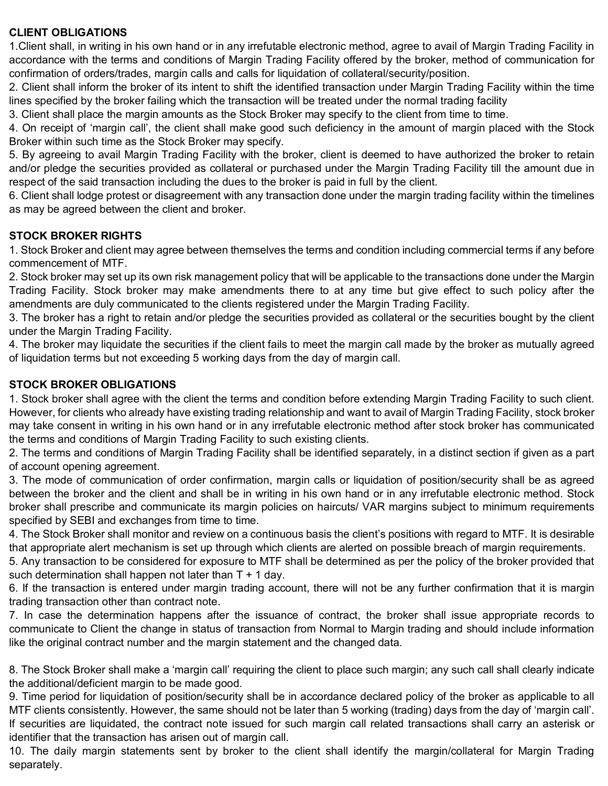### **CLIENT OBLIGATIONS**

1.Client shall, in writing in his own hand or in any irrefutable electronic method, agree to avail of Margin Trading Facility in accordance with the terms and conditions of Margin Trading Facility offered by the broker, method of communication for confirmation of orders/trades, margin calls and calls for liquidation of collateral/security/position.

2. Client shall inform the broker of its intent to shift the identified transaction under Margin Trading Facility within the time lines specified by the broker failing which the transaction will be treated under the normal trading facility

3. Client shall place the margin amounts as the Stock Broker may specify to the client from time to time.

4. On receipt of 'margin call', the client shall make good such deficiency in the amount of margin placed with the Stock Broker within such time as the Stock Broker may specify.

5. By agreeing to avail Margin Trading Facility with the broker, client is deemed to have authorized the broker to retain and/or pledge the securities provided as collateral or purchased under the Margin Trading Facility till the amount due in respect of the said transaction including the dues to the broker is paid in full by the client.

6. Client shall lodge protest or disagreement with any transaction done under the margin trading facility within the timelines as may be agreed between the client and broker.

## **STOCK BROKER RIGHTS**

1. Stock Broker and client may agree between themselves the terms and condition including commercial terms if any before commencement of MTF.

2. Stock broker may set up its own risk management policy that will be applicable to the transactions done under the Margin Trading Facility. Stock broker may make amendments there to at any time but give effect to such policy after the amendments are duly communicated to the clients registered under the Margin Trading Facility.

3. The broker has a right to retain and/or pledge the securities provided as collateral or the securities bought by the client under the Margin Trading Facility.

4. The broker may liquidate the securities if the client fails to meet the margin call made by the broker as mutually agreed of liquidation terms but not exceeding 5 working days from the day of margin call.

## **STOCK BROKER OBLIGATIONS**

1. Stock broker shall agree with the client the terms and condition before extending Margin Trading Facility to such client. However, for clients who already have existing trading relationship and want to avail of Margin Trading Facility, stock broker may take consent in writing in his own hand or in any irrefutable electronic method after stock broker has communicated the terms and conditions of Margin Trading Facility to such existing clients.

2. The terms and conditions of Margin Trading Facility shall be identified separately, in a distinct section if given as a part of account opening agreement.

3. The mode of communication of order confirmation, margin calls or liquidation of position/security shall be as agreed between the broker and the client and shall be in writing in his own hand or in any irrefutable electronic method. Stock broker shall prescribe and communicate its margin policies on haircuts/ VAR margins subject to minimum requirements specified by SEBI and exchanges from time to time.

4. The Stock Broker shall monitor and review on a continuous basis the client's positions with regard to MTF. It is desirable that appropriate alert mechanism is set up through which clients are alerted on possible breach of margin requirements.

5. Any transaction to be considered for exposure to MTF shall be determined as per the policy of the broker provided that such determination shall happen not later than  $T + 1$  day.

6. If the transaction is entered under margin trading account, there will not be any further confirmation that it is margin trading transaction other than contract note.

7. In case the determination happens after the issuance of contract, the broker shall issue appropriate records to communicate to Client the change in status of transaction from Normal to Margin trading and should include information like the original contract number and the margin statement and the changed data.

8. The Stock Broker shall make a 'margin call' requiring the client to place such margin; any such call shall clearly indicate the additional/deficient margin to be made good.

9. Time period for liquidation of position/security shall be in accordance declared policy of the broker as applicable to all MTF clients consistently. However, the same should not be later than 5 working (trading) days from the day of 'margin call'. If securities are liquidated, the contract note issued for such margin call related transactions shall carry an asterisk or identifier that the transaction has arisen out of margin call.

10. The daily margin statements sent by broker to the client shall identify the margin/collateral for Margin Trading separately.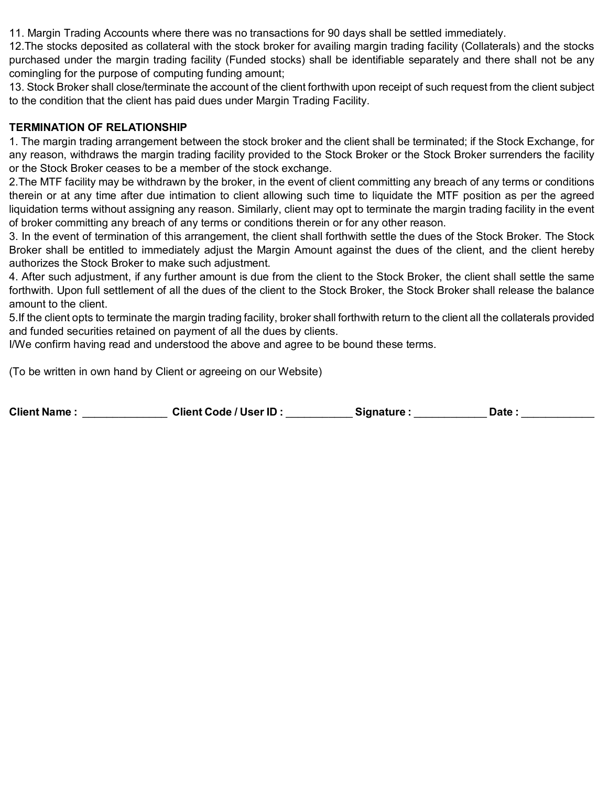11. Margin Trading Accounts where there was no transactions for 90 days shall be settled immediately.

12.The stocks deposited as collateral with the stock broker for availing margin trading facility (Collaterals) and the stocks purchased under the margin trading facility (Funded stocks) shall be identifiable separately and there shall not be any comingling for the purpose of computing funding amount;

13. Stock Broker shall close/terminate the account of the client forthwith upon receipt of such request from the client subject to the condition that the client has paid dues under Margin Trading Facility.

### **TERMINATION OF RELATIONSHIP**

1. The margin trading arrangement between the stock broker and the client shall be terminated; if the Stock Exchange, for any reason, withdraws the margin trading facility provided to the Stock Broker or the Stock Broker surrenders the facility or the Stock Broker ceases to be a member of the stock exchange.

2.The MTF facility may be withdrawn by the broker, in the event of client committing any breach of any terms or conditions therein or at any time after due intimation to client allowing such time to liquidate the MTF position as per the agreed liquidation terms without assigning any reason. Similarly, client may opt to terminate the margin trading facility in the event of broker committing any breach of any terms or conditions therein or for any other reason.

3. In the event of termination of this arrangement, the client shall forthwith settle the dues of the Stock Broker. The Stock Broker shall be entitled to immediately adjust the Margin Amount against the dues of the client, and the client hereby authorizes the Stock Broker to make such adjustment.

4. After such adjustment, if any further amount is due from the client to the Stock Broker, the client shall settle the same forthwith. Upon full settlement of all the dues of the client to the Stock Broker, the Stock Broker shall release the balance amount to the client.

5.If the client opts to terminate the margin trading facility, broker shall forthwith return to the client all the collaterals provided and funded securities retained on payment of all the dues by clients.

I/We confirm having read and understood the above and agree to be bound these terms.

(To be written in own hand by Client or agreeing on our Website)

| <b>Client Name:</b> | <b>Client Code / User ID:</b> | <b>Signature</b> : | Date |  |
|---------------------|-------------------------------|--------------------|------|--|
|---------------------|-------------------------------|--------------------|------|--|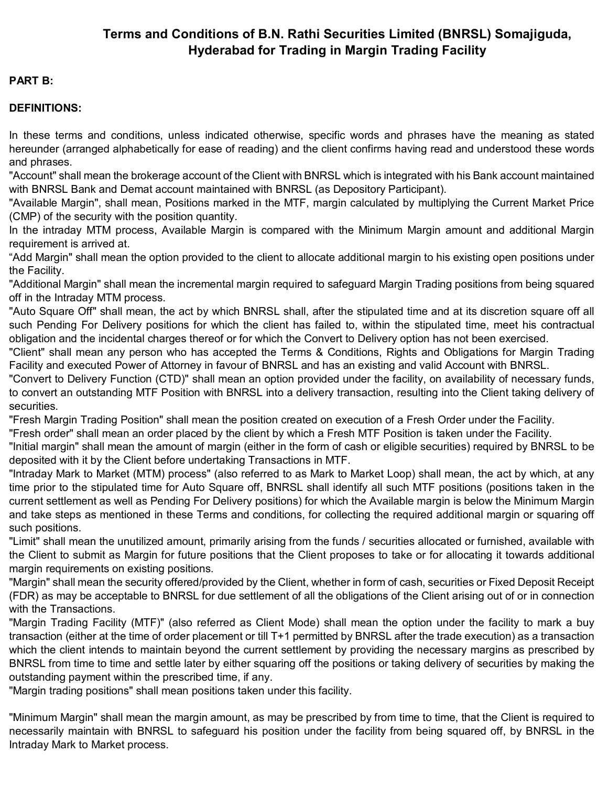# **Terms and Conditions of B.N. Rathi Securities Limited (BNRSL) Somajiguda, Hyderabad for Trading in Margin Trading Facility**

### **PART B:**

### **DEFINITIONS:**

In these terms and conditions, unless indicated otherwise, specific words and phrases have the meaning as stated hereunder (arranged alphabetically for ease of reading) and the client confirms having read and understood these words and phrases.

"Account" shall mean the brokerage account of the Client with BNRSL which is integrated with his Bank account maintained with BNRSL Bank and Demat account maintained with BNRSL (as Depository Participant).

"Available Margin", shall mean, Positions marked in the MTF, margin calculated by multiplying the Current Market Price (CMP) of the security with the position quantity.

In the intraday MTM process, Available Margin is compared with the Minimum Margin amount and additional Margin requirement is arrived at.

"Add Margin" shall mean the option provided to the client to allocate additional margin to his existing open positions under the Facility.

"Additional Margin" shall mean the incremental margin required to safeguard Margin Trading positions from being squared off in the Intraday MTM process.

"Auto Square Off" shall mean, the act by which BNRSL shall, after the stipulated time and at its discretion square off all such Pending For Delivery positions for which the client has failed to, within the stipulated time, meet his contractual obligation and the incidental charges thereof or for which the Convert to Delivery option has not been exercised.

"Client" shall mean any person who has accepted the Terms & Conditions, Rights and Obligations for Margin Trading Facility and executed Power of Attorney in favour of BNRSL and has an existing and valid Account with BNRSL.

"Convert to Delivery Function (CTD)" shall mean an option provided under the facility, on availability of necessary funds, to convert an outstanding MTF Position with BNRSL into a delivery transaction, resulting into the Client taking delivery of securities.

"Fresh Margin Trading Position" shall mean the position created on execution of a Fresh Order under the Facility.

"Fresh order" shall mean an order placed by the client by which a Fresh MTF Position is taken under the Facility.

"Initial margin" shall mean the amount of margin (either in the form of cash or eligible securities) required by BNRSL to be deposited with it by the Client before undertaking Transactions in MTF.

"Intraday Mark to Market (MTM) process" (also referred to as Mark to Market Loop) shall mean, the act by which, at any time prior to the stipulated time for Auto Square off, BNRSL shall identify all such MTF positions (positions taken in the current settlement as well as Pending For Delivery positions) for which the Available margin is below the Minimum Margin and take steps as mentioned in these Terms and conditions, for collecting the required additional margin or squaring off such positions.

"Limit" shall mean the unutilized amount, primarily arising from the funds / securities allocated or furnished, available with the Client to submit as Margin for future positions that the Client proposes to take or for allocating it towards additional margin requirements on existing positions.

"Margin" shall mean the security offered/provided by the Client, whether in form of cash, securities or Fixed Deposit Receipt (FDR) as may be acceptable to BNRSL for due settlement of all the obligations of the Client arising out of or in connection with the Transactions.

"Margin Trading Facility (MTF)" (also referred as Client Mode) shall mean the option under the facility to mark a buy transaction (either at the time of order placement or till T+1 permitted by BNRSL after the trade execution) as a transaction which the client intends to maintain beyond the current settlement by providing the necessary margins as prescribed by BNRSL from time to time and settle later by either squaring off the positions or taking delivery of securities by making the outstanding payment within the prescribed time, if any.

"Margin trading positions" shall mean positions taken under this facility.

"Minimum Margin" shall mean the margin amount, as may be prescribed by from time to time, that the Client is required to necessarily maintain with BNRSL to safeguard his position under the facility from being squared off, by BNRSL in the Intraday Mark to Market process.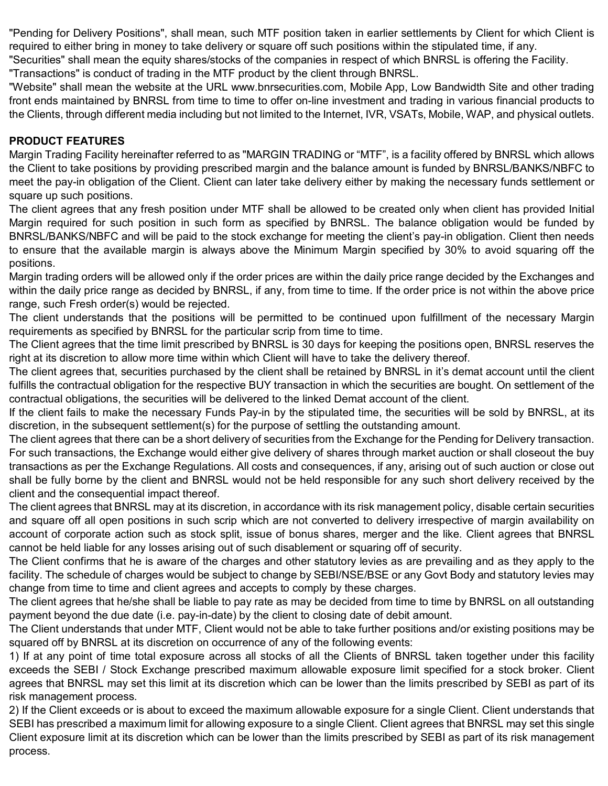"Pending for Delivery Positions", shall mean, such MTF position taken in earlier settlements by Client for which Client is required to either bring in money to take delivery or square off such positions within the stipulated time, if any. "Securities" shall mean the equity shares/stocks of the companies in respect of which BNRSL is offering the Facility.

"Transactions" is conduct of trading in the MTF product by the client through BNRSL.

"Website" shall mean the website at the URL www.bnrsecurities.com, Mobile App, Low Bandwidth Site and other trading front ends maintained by BNRSL from time to time to offer on-line investment and trading in various financial products to the Clients, through different media including but not limited to the Internet, IVR, VSATs, Mobile, WAP, and physical outlets.

## **PRODUCT FEATURES**

Margin Trading Facility hereinafter referred to as "MARGIN TRADING or "MTF", is a facility offered by BNRSL which allows the Client to take positions by providing prescribed margin and the balance amount is funded by BNRSL/BANKS/NBFC to meet the pay-in obligation of the Client. Client can later take delivery either by making the necessary funds settlement or square up such positions.

The client agrees that any fresh position under MTF shall be allowed to be created only when client has provided Initial Margin required for such position in such form as specified by BNRSL. The balance obligation would be funded by BNRSL/BANKS/NBFC and will be paid to the stock exchange for meeting the client's pay-in obligation. Client then needs to ensure that the available margin is always above the Minimum Margin specified by 30% to avoid squaring off the positions.

Margin trading orders will be allowed only if the order prices are within the daily price range decided by the Exchanges and within the daily price range as decided by BNRSL, if any, from time to time. If the order price is not within the above price range, such Fresh order(s) would be rejected.

The client understands that the positions will be permitted to be continued upon fulfillment of the necessary Margin requirements as specified by BNRSL for the particular scrip from time to time.

The Client agrees that the time limit prescribed by BNRSL is 30 days for keeping the positions open, BNRSL reserves the right at its discretion to allow more time within which Client will have to take the delivery thereof.

The client agrees that, securities purchased by the client shall be retained by BNRSL in it's demat account until the client fulfills the contractual obligation for the respective BUY transaction in which the securities are bought. On settlement of the contractual obligations, the securities will be delivered to the linked Demat account of the client.

If the client fails to make the necessary Funds Pay-in by the stipulated time, the securities will be sold by BNRSL, at its discretion, in the subsequent settlement(s) for the purpose of settling the outstanding amount.

The client agrees that there can be a short delivery of securities from the Exchange for the Pending for Delivery transaction. For such transactions, the Exchange would either give delivery of shares through market auction or shall closeout the buy transactions as per the Exchange Regulations. All costs and consequences, if any, arising out of such auction or close out shall be fully borne by the client and BNRSL would not be held responsible for any such short delivery received by the client and the consequential impact thereof.

The client agrees that BNRSL may at its discretion, in accordance with its risk management policy, disable certain securities and square off all open positions in such scrip which are not converted to delivery irrespective of margin availability on account of corporate action such as stock split, issue of bonus shares, merger and the like. Client agrees that BNRSL cannot be held liable for any losses arising out of such disablement or squaring off of security.

The Client confirms that he is aware of the charges and other statutory levies as are prevailing and as they apply to the facility. The schedule of charges would be subject to change by SEBI/NSE/BSE or any Govt Body and statutory levies may change from time to time and client agrees and accepts to comply by these charges.

The client agrees that he/she shall be liable to pay rate as may be decided from time to time by BNRSL on all outstanding payment beyond the due date (i.e. pay-in-date) by the client to closing date of debit amount.

The Client understands that under MTF, Client would not be able to take further positions and/or existing positions may be squared off by BNRSL at its discretion on occurrence of any of the following events:

1) If at any point of time total exposure across all stocks of all the Clients of BNRSL taken together under this facility exceeds the SEBI / Stock Exchange prescribed maximum allowable exposure limit specified for a stock broker. Client agrees that BNRSL may set this limit at its discretion which can be lower than the limits prescribed by SEBI as part of its risk management process.

2) If the Client exceeds or is about to exceed the maximum allowable exposure for a single Client. Client understands that SEBI has prescribed a maximum limit for allowing exposure to a single Client. Client agrees that BNRSL may set this single Client exposure limit at its discretion which can be lower than the limits prescribed by SEBI as part of its risk management process.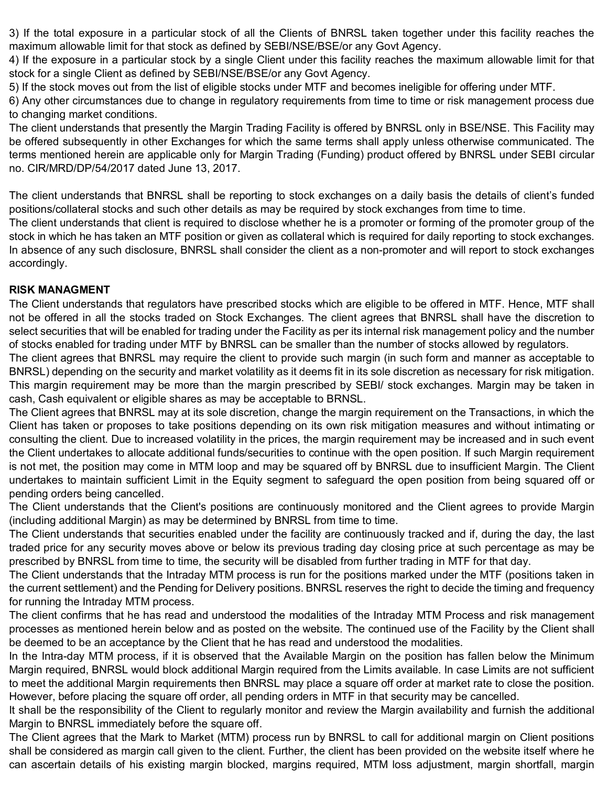3) If the total exposure in a particular stock of all the Clients of BNRSL taken together under this facility reaches the maximum allowable limit for that stock as defined by SEBI/NSE/BSE/or any Govt Agency.

4) If the exposure in a particular stock by a single Client under this facility reaches the maximum allowable limit for that stock for a single Client as defined by SEBI/NSE/BSE/or any Govt Agency.

5) If the stock moves out from the list of eligible stocks under MTF and becomes ineligible for offering under MTF.

6) Any other circumstances due to change in regulatory requirements from time to time or risk management process due to changing market conditions.

The client understands that presently the Margin Trading Facility is offered by BNRSL only in BSE/NSE. This Facility may be offered subsequently in other Exchanges for which the same terms shall apply unless otherwise communicated. The terms mentioned herein are applicable only for Margin Trading (Funding) product offered by BNRSL under SEBI circular no. CIR/MRD/DP/54/2017 dated June 13, 2017.

The client understands that BNRSL shall be reporting to stock exchanges on a daily basis the details of client's funded positions/collateral stocks and such other details as may be required by stock exchanges from time to time.

The client understands that client is required to disclose whether he is a promoter or forming of the promoter group of the stock in which he has taken an MTF position or given as collateral which is required for daily reporting to stock exchanges. In absence of any such disclosure, BNRSL shall consider the client as a non-promoter and will report to stock exchanges accordingly.

### **RISK MANAGMENT**

The Client understands that regulators have prescribed stocks which are eligible to be offered in MTF. Hence, MTF shall not be offered in all the stocks traded on Stock Exchanges. The client agrees that BNRSL shall have the discretion to select securities that will be enabled for trading under the Facility as per its internal risk management policy and the number of stocks enabled for trading under MTF by BNRSL can be smaller than the number of stocks allowed by regulators.

The client agrees that BNRSL may require the client to provide such margin (in such form and manner as acceptable to BNRSL) depending on the security and market volatility as it deems fit in its sole discretion as necessary for risk mitigation. This margin requirement may be more than the margin prescribed by SEBI/ stock exchanges. Margin may be taken in cash, Cash equivalent or eligible shares as may be acceptable to BRNSL.

The Client agrees that BNRSL may at its sole discretion, change the margin requirement on the Transactions, in which the Client has taken or proposes to take positions depending on its own risk mitigation measures and without intimating or consulting the client. Due to increased volatility in the prices, the margin requirement may be increased and in such event the Client undertakes to allocate additional funds/securities to continue with the open position. If such Margin requirement is not met, the position may come in MTM loop and may be squared off by BNRSL due to insufficient Margin. The Client undertakes to maintain sufficient Limit in the Equity segment to safeguard the open position from being squared off or pending orders being cancelled.

The Client understands that the Client's positions are continuously monitored and the Client agrees to provide Margin (including additional Margin) as may be determined by BNRSL from time to time.

The Client understands that securities enabled under the facility are continuously tracked and if, during the day, the last traded price for any security moves above or below its previous trading day closing price at such percentage as may be prescribed by BNRSL from time to time, the security will be disabled from further trading in MTF for that day.

The Client understands that the Intraday MTM process is run for the positions marked under the MTF (positions taken in the current settlement) and the Pending for Delivery positions. BNRSL reserves the right to decide the timing and frequency for running the Intraday MTM process.

The client confirms that he has read and understood the modalities of the Intraday MTM Process and risk management processes as mentioned herein below and as posted on the website. The continued use of the Facility by the Client shall be deemed to be an acceptance by the Client that he has read and understood the modalities.

In the Intra-day MTM process, if it is observed that the Available Margin on the position has fallen below the Minimum Margin required, BNRSL would block additional Margin required from the Limits available. In case Limits are not sufficient to meet the additional Margin requirements then BNRSL may place a square off order at market rate to close the position. However, before placing the square off order, all pending orders in MTF in that security may be cancelled.

It shall be the responsibility of the Client to regularly monitor and review the Margin availability and furnish the additional Margin to BNRSL immediately before the square off.

The Client agrees that the Mark to Market (MTM) process run by BNRSL to call for additional margin on Client positions shall be considered as margin call given to the client. Further, the client has been provided on the website itself where he can ascertain details of his existing margin blocked, margins required, MTM loss adjustment, margin shortfall, margin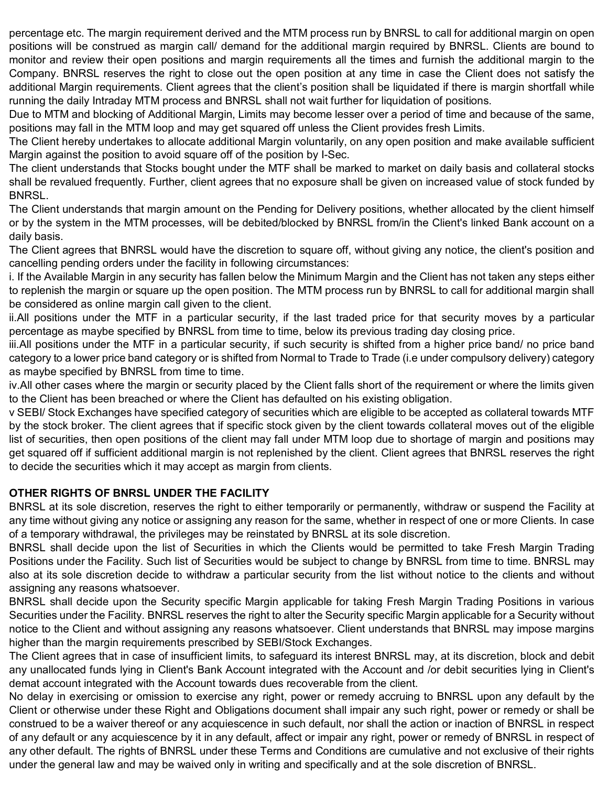percentage etc. The margin requirement derived and the MTM process run by BNRSL to call for additional margin on open positions will be construed as margin call/ demand for the additional margin required by BNRSL. Clients are bound to monitor and review their open positions and margin requirements all the times and furnish the additional margin to the Company. BNRSL reserves the right to close out the open position at any time in case the Client does not satisfy the additional Margin requirements. Client agrees that the client's position shall be liquidated if there is margin shortfall while running the daily Intraday MTM process and BNRSL shall not wait further for liquidation of positions.

Due to MTM and blocking of Additional Margin, Limits may become lesser over a period of time and because of the same, positions may fall in the MTM loop and may get squared off unless the Client provides fresh Limits.

The Client hereby undertakes to allocate additional Margin voluntarily, on any open position and make available sufficient Margin against the position to avoid square off of the position by I-Sec.

The client understands that Stocks bought under the MTF shall be marked to market on daily basis and collateral stocks shall be revalued frequently. Further, client agrees that no exposure shall be given on increased value of stock funded by BNRSL.

The Client understands that margin amount on the Pending for Delivery positions, whether allocated by the client himself or by the system in the MTM processes, will be debited/blocked by BNRSL from/in the Client's linked Bank account on a daily basis.

The Client agrees that BNRSL would have the discretion to square off, without giving any notice, the client's position and cancelling pending orders under the facility in following circumstances:

i. If the Available Margin in any security has fallen below the Minimum Margin and the Client has not taken any steps either to replenish the margin or square up the open position. The MTM process run by BNRSL to call for additional margin shall be considered as online margin call given to the client.

ii.All positions under the MTF in a particular security, if the last traded price for that security moves by a particular percentage as maybe specified by BNRSL from time to time, below its previous trading day closing price.

iii.All positions under the MTF in a particular security, if such security is shifted from a higher price band/ no price band category to a lower price band category or is shifted from Normal to Trade to Trade (i.e under compulsory delivery) category as maybe specified by BNRSL from time to time.

iv.All other cases where the margin or security placed by the Client falls short of the requirement or where the limits given to the Client has been breached or where the Client has defaulted on his existing obligation.

v SEBI/ Stock Exchanges have specified category of securities which are eligible to be accepted as collateral towards MTF by the stock broker. The client agrees that if specific stock given by the client towards collateral moves out of the eligible list of securities, then open positions of the client may fall under MTM loop due to shortage of margin and positions may get squared off if sufficient additional margin is not replenished by the client. Client agrees that BNRSL reserves the right to decide the securities which it may accept as margin from clients.

### **OTHER RIGHTS OF BNRSL UNDER THE FACILITY**

BNRSL at its sole discretion, reserves the right to either temporarily or permanently, withdraw or suspend the Facility at any time without giving any notice or assigning any reason for the same, whether in respect of one or more Clients. In case of a temporary withdrawal, the privileges may be reinstated by BNRSL at its sole discretion.

BNRSL shall decide upon the list of Securities in which the Clients would be permitted to take Fresh Margin Trading Positions under the Facility. Such list of Securities would be subject to change by BNRSL from time to time. BNRSL may also at its sole discretion decide to withdraw a particular security from the list without notice to the clients and without assigning any reasons whatsoever.

BNRSL shall decide upon the Security specific Margin applicable for taking Fresh Margin Trading Positions in various Securities under the Facility. BNRSL reserves the right to alter the Security specific Margin applicable for a Security without notice to the Client and without assigning any reasons whatsoever. Client understands that BNRSL may impose margins higher than the margin requirements prescribed by SEBI/Stock Exchanges.

The Client agrees that in case of insufficient limits, to safeguard its interest BNRSL may, at its discretion, block and debit any unallocated funds lying in Client's Bank Account integrated with the Account and /or debit securities lying in Client's demat account integrated with the Account towards dues recoverable from the client.

No delay in exercising or omission to exercise any right, power or remedy accruing to BNRSL upon any default by the Client or otherwise under these Right and Obligations document shall impair any such right, power or remedy or shall be construed to be a waiver thereof or any acquiescence in such default, nor shall the action or inaction of BNRSL in respect of any default or any acquiescence by it in any default, affect or impair any right, power or remedy of BNRSL in respect of any other default. The rights of BNRSL under these Terms and Conditions are cumulative and not exclusive of their rights under the general law and may be waived only in writing and specifically and at the sole discretion of BNRSL.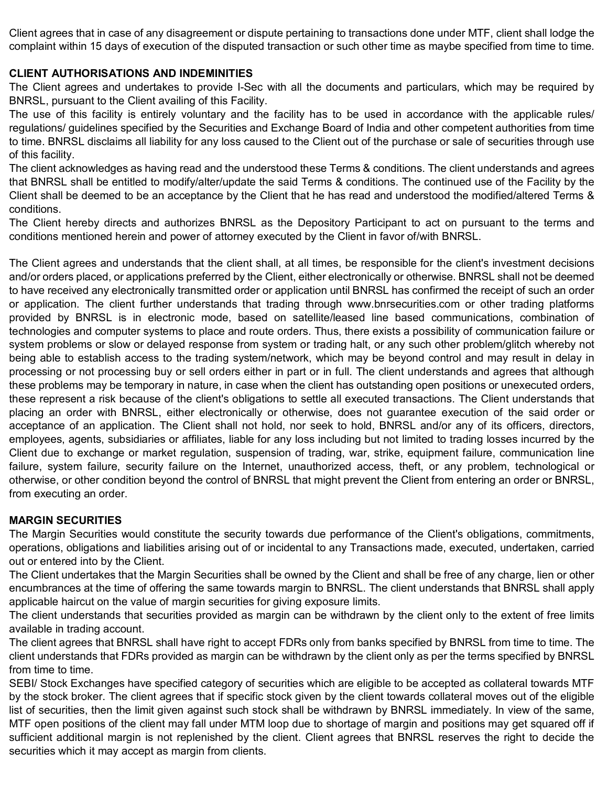Client agrees that in case of any disagreement or dispute pertaining to transactions done under MTF, client shall lodge the complaint within 15 days of execution of the disputed transaction or such other time as maybe specified from time to time.

### **CLIENT AUTHORISATIONS AND INDEMINITIES**

The Client agrees and undertakes to provide I-Sec with all the documents and particulars, which may be required by BNRSL, pursuant to the Client availing of this Facility.

The use of this facility is entirely voluntary and the facility has to be used in accordance with the applicable rules/ regulations/ guidelines specified by the Securities and Exchange Board of India and other competent authorities from time to time. BNRSL disclaims all liability for any loss caused to the Client out of the purchase or sale of securities through use of this facility.

The client acknowledges as having read and the understood these Terms & conditions. The client understands and agrees that BNRSL shall be entitled to modify/alter/update the said Terms & conditions. The continued use of the Facility by the Client shall be deemed to be an acceptance by the Client that he has read and understood the modified/altered Terms & conditions.

The Client hereby directs and authorizes BNRSL as the Depository Participant to act on pursuant to the terms and conditions mentioned herein and power of attorney executed by the Client in favor of/with BNRSL.

The Client agrees and understands that the client shall, at all times, be responsible for the client's investment decisions and/or orders placed, or applications preferred by the Client, either electronically or otherwise. BNRSL shall not be deemed to have received any electronically transmitted order or application until BNRSL has confirmed the receipt of such an order or application. The client further understands that trading through www.bnrsecurities.com or other trading platforms provided by BNRSL is in electronic mode, based on satellite/leased line based communications, combination of technologies and computer systems to place and route orders. Thus, there exists a possibility of communication failure or system problems or slow or delayed response from system or trading halt, or any such other problem/glitch whereby not being able to establish access to the trading system/network, which may be beyond control and may result in delay in processing or not processing buy or sell orders either in part or in full. The client understands and agrees that although these problems may be temporary in nature, in case when the client has outstanding open positions or unexecuted orders, these represent a risk because of the client's obligations to settle all executed transactions. The Client understands that placing an order with BNRSL, either electronically or otherwise, does not guarantee execution of the said order or acceptance of an application. The Client shall not hold, nor seek to hold, BNRSL and/or any of its officers, directors, employees, agents, subsidiaries or affiliates, liable for any loss including but not limited to trading losses incurred by the Client due to exchange or market regulation, suspension of trading, war, strike, equipment failure, communication line failure, system failure, security failure on the Internet, unauthorized access, theft, or any problem, technological or otherwise, or other condition beyond the control of BNRSL that might prevent the Client from entering an order or BNRSL, from executing an order.

## **MARGIN SECURITIES**

The Margin Securities would constitute the security towards due performance of the Client's obligations, commitments, operations, obligations and liabilities arising out of or incidental to any Transactions made, executed, undertaken, carried out or entered into by the Client.

The Client undertakes that the Margin Securities shall be owned by the Client and shall be free of any charge, lien or other encumbrances at the time of offering the same towards margin to BNRSL. The client understands that BNRSL shall apply applicable haircut on the value of margin securities for giving exposure limits.

The client understands that securities provided as margin can be withdrawn by the client only to the extent of free limits available in trading account.

The client agrees that BNRSL shall have right to accept FDRs only from banks specified by BNRSL from time to time. The client understands that FDRs provided as margin can be withdrawn by the client only as per the terms specified by BNRSL from time to time.

SEBI/ Stock Exchanges have specified category of securities which are eligible to be accepted as collateral towards MTF by the stock broker. The client agrees that if specific stock given by the client towards collateral moves out of the eligible list of securities, then the limit given against such stock shall be withdrawn by BNRSL immediately. In view of the same, MTF open positions of the client may fall under MTM loop due to shortage of margin and positions may get squared off if sufficient additional margin is not replenished by the client. Client agrees that BNRSL reserves the right to decide the securities which it may accept as margin from clients.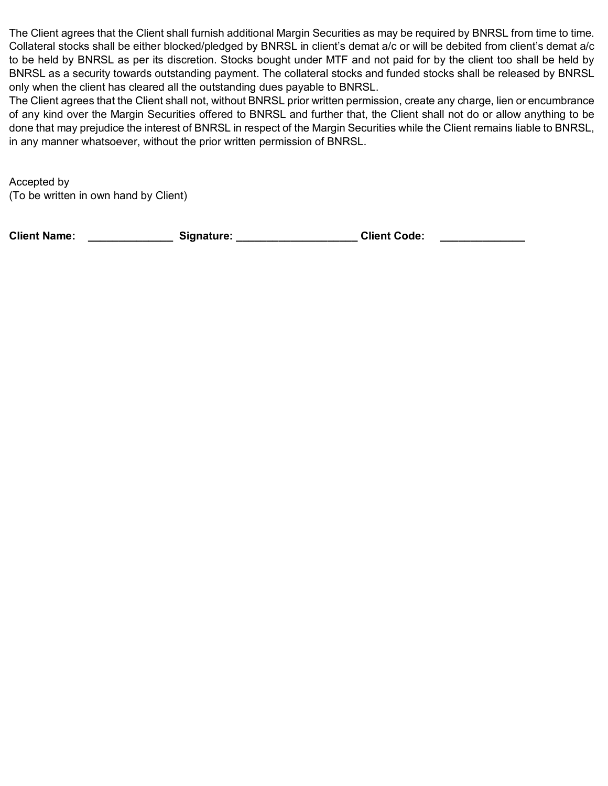The Client agrees that the Client shall furnish additional Margin Securities as may be required by BNRSL from time to time. Collateral stocks shall be either blocked/pledged by BNRSL in client's demat a/c or will be debited from client's demat a/c to be held by BNRSL as per its discretion. Stocks bought under MTF and not paid for by the client too shall be held by BNRSL as a security towards outstanding payment. The collateral stocks and funded stocks shall be released by BNRSL only when the client has cleared all the outstanding dues payable to BNRSL.

The Client agrees that the Client shall not, without BNRSL prior written permission, create any charge, lien or encumbrance of any kind over the Margin Securities offered to BNRSL and further that, the Client shall not do or allow anything to be done that may prejudice the interest of BNRSL in respect of the Margin Securities while the Client remains liable to BNRSL, in any manner whatsoever, without the prior written permission of BNRSL.

Accepted by (To be written in own hand by Client)

Client Name: \_\_\_\_\_\_\_\_\_\_\_\_\_\_\_\_\_\_\_\_ Signature: \_\_\_\_\_\_\_\_\_\_\_\_\_\_\_\_\_\_\_\_\_\_\_\_\_Client Code: \_\_\_\_\_\_\_\_\_\_\_\_\_\_\_\_\_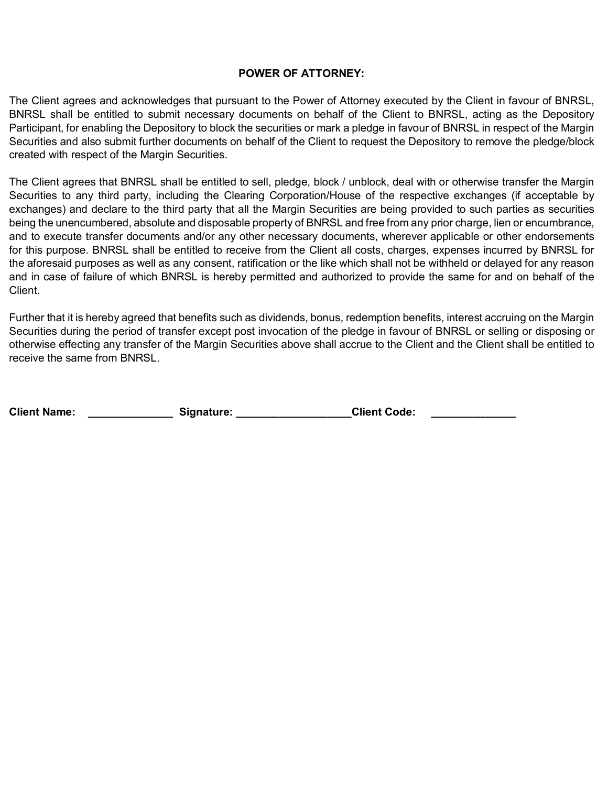#### **POWER OF ATTORNEY:**

The Client agrees and acknowledges that pursuant to the Power of Attorney executed by the Client in favour of BNRSL, BNRSL shall be entitled to submit necessary documents on behalf of the Client to BNRSL, acting as the Depository Participant, for enabling the Depository to block the securities or mark a pledge in favour of BNRSL in respect of the Margin Securities and also submit further documents on behalf of the Client to request the Depository to remove the pledge/block created with respect of the Margin Securities.

The Client agrees that BNRSL shall be entitled to sell, pledge, block / unblock, deal with or otherwise transfer the Margin Securities to any third party, including the Clearing Corporation/House of the respective exchanges (if acceptable by exchanges) and declare to the third party that all the Margin Securities are being provided to such parties as securities being the unencumbered, absolute and disposable property of BNRSL and free from any prior charge, lien or encumbrance, and to execute transfer documents and/or any other necessary documents, wherever applicable or other endorsements for this purpose. BNRSL shall be entitled to receive from the Client all costs, charges, expenses incurred by BNRSL for the aforesaid purposes as well as any consent, ratification or the like which shall not be withheld or delayed for any reason and in case of failure of which BNRSL is hereby permitted and authorized to provide the same for and on behalf of the Client.

Further that it is hereby agreed that benefits such as dividends, bonus, redemption benefits, interest accruing on the Margin Securities during the period of transfer except post invocation of the pledge in favour of BNRSL or selling or disposing or otherwise effecting any transfer of the Margin Securities above shall accrue to the Client and the Client shall be entitled to receive the same from BNRSL.

| <b>Client Name:</b><br><b>Client Code:</b><br>Signature: |  |
|----------------------------------------------------------|--|
|----------------------------------------------------------|--|